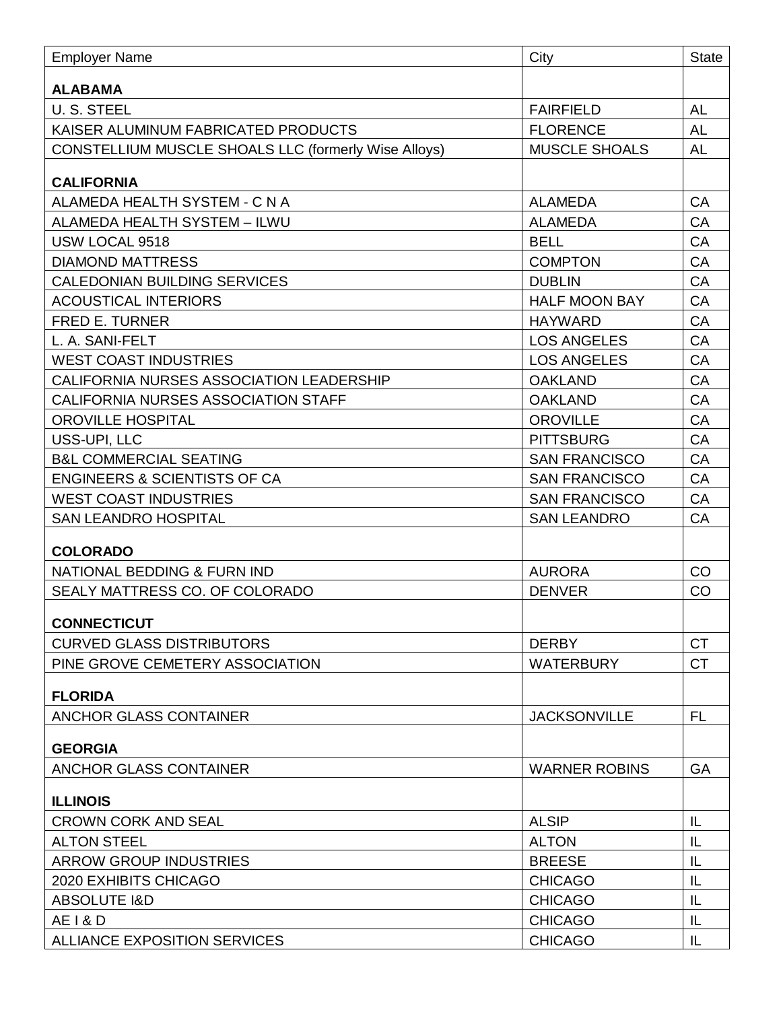| <b>ALABAMA</b><br><b>U.S. STEEL</b><br><b>AL</b><br><b>FAIRFIELD</b><br><b>AL</b><br>KAISER ALUMINUM FABRICATED PRODUCTS<br><b>FLORENCE</b><br><b>MUSCLE SHOALS</b><br><b>AL</b><br><b>CONSTELLIUM MUSCLE SHOALS LLC (formerly Wise Alloys)</b><br><b>CALIFORNIA</b><br>ALAMEDA HEALTH SYSTEM - C N A<br><b>ALAMEDA</b><br>CA<br>CA<br>ALAMEDA HEALTH SYSTEM - ILWU<br><b>ALAMEDA</b><br>CA<br>USW LOCAL 9518<br><b>BELL</b><br>CA<br><b>DIAMOND MATTRESS</b><br><b>COMPTON</b><br>CA<br><b>CALEDONIAN BUILDING SERVICES</b><br><b>DUBLIN</b><br><b>ACOUSTICAL INTERIORS</b><br><b>HALF MOON BAY</b><br><b>CA</b><br>CA<br><b>FRED E. TURNER</b><br><b>HAYWARD</b><br>CA<br>L. A. SANI-FELT<br><b>LOS ANGELES</b><br>CA<br><b>WEST COAST INDUSTRIES</b><br><b>LOS ANGELES</b><br>CA<br>CALIFORNIA NURSES ASSOCIATION LEADERSHIP<br><b>OAKLAND</b><br>CA<br>CALIFORNIA NURSES ASSOCIATION STAFF<br><b>OAKLAND</b><br>CA<br>OROVILLE HOSPITAL<br><b>OROVILLE</b><br>CA<br>USS-UPI, LLC<br><b>PITTSBURG</b><br>CA<br><b>B&amp;L COMMERCIAL SEATING</b><br><b>SAN FRANCISCO</b><br><b>ENGINEERS &amp; SCIENTISTS OF CA</b><br>CA<br><b>SAN FRANCISCO</b><br><b>WEST COAST INDUSTRIES</b><br>CA<br><b>SAN FRANCISCO</b><br>CA<br><b>SAN LEANDRO HOSPITAL</b><br><b>SAN LEANDRO</b><br><b>COLORADO</b><br>CO<br>NATIONAL BEDDING & FURN IND<br><b>AURORA</b><br>CO<br>SEALY MATTRESS CO. OF COLORADO<br><b>DENVER</b><br><b>CONNECTICUT</b><br><b>CT</b><br><b>CURVED GLASS DISTRIBUTORS</b><br><b>DERBY</b><br><b>CT</b><br>PINE GROVE CEMETERY ASSOCIATION<br><b>WATERBURY</b><br><b>FLORIDA</b><br>FL.<br><b>ANCHOR GLASS CONTAINER</b><br><b>JACKSONVILLE</b><br><b>GEORGIA</b><br><b>ANCHOR GLASS CONTAINER</b><br><b>WARNER ROBINS</b><br><b>GA</b><br><b>ILLINOIS</b><br><b>ALSIP</b><br><b>CROWN CORK AND SEAL</b><br>IL<br>IL<br><b>ALTON STEEL</b><br><b>ALTON</b><br><b>ARROW GROUP INDUSTRIES</b><br><b>BREESE</b><br>IL<br>2020 EXHIBITS CHICAGO<br><b>CHICAGO</b><br>IL<br><b>ABSOLUTE I&amp;D</b><br><b>CHICAGO</b><br>IL<br><b>AE I &amp; D</b><br><b>CHICAGO</b><br>IL<br><b>ALLIANCE EXPOSITION SERVICES</b><br><b>CHICAGO</b><br>IL | <b>Employer Name</b> | City | <b>State</b> |
|--------------------------------------------------------------------------------------------------------------------------------------------------------------------------------------------------------------------------------------------------------------------------------------------------------------------------------------------------------------------------------------------------------------------------------------------------------------------------------------------------------------------------------------------------------------------------------------------------------------------------------------------------------------------------------------------------------------------------------------------------------------------------------------------------------------------------------------------------------------------------------------------------------------------------------------------------------------------------------------------------------------------------------------------------------------------------------------------------------------------------------------------------------------------------------------------------------------------------------------------------------------------------------------------------------------------------------------------------------------------------------------------------------------------------------------------------------------------------------------------------------------------------------------------------------------------------------------------------------------------------------------------------------------------------------------------------------------------------------------------------------------------------------------------------------------------------------------------------------------------------------------------------------------------------------------------------------------------------------------------------------------------------------------------------------------------------------------------------------------------------------------------------|----------------------|------|--------------|
|                                                                                                                                                                                                                                                                                                                                                                                                                                                                                                                                                                                                                                                                                                                                                                                                                                                                                                                                                                                                                                                                                                                                                                                                                                                                                                                                                                                                                                                                                                                                                                                                                                                                                                                                                                                                                                                                                                                                                                                                                                                                                                                                                  |                      |      |              |
|                                                                                                                                                                                                                                                                                                                                                                                                                                                                                                                                                                                                                                                                                                                                                                                                                                                                                                                                                                                                                                                                                                                                                                                                                                                                                                                                                                                                                                                                                                                                                                                                                                                                                                                                                                                                                                                                                                                                                                                                                                                                                                                                                  |                      |      |              |
|                                                                                                                                                                                                                                                                                                                                                                                                                                                                                                                                                                                                                                                                                                                                                                                                                                                                                                                                                                                                                                                                                                                                                                                                                                                                                                                                                                                                                                                                                                                                                                                                                                                                                                                                                                                                                                                                                                                                                                                                                                                                                                                                                  |                      |      |              |
|                                                                                                                                                                                                                                                                                                                                                                                                                                                                                                                                                                                                                                                                                                                                                                                                                                                                                                                                                                                                                                                                                                                                                                                                                                                                                                                                                                                                                                                                                                                                                                                                                                                                                                                                                                                                                                                                                                                                                                                                                                                                                                                                                  |                      |      |              |
|                                                                                                                                                                                                                                                                                                                                                                                                                                                                                                                                                                                                                                                                                                                                                                                                                                                                                                                                                                                                                                                                                                                                                                                                                                                                                                                                                                                                                                                                                                                                                                                                                                                                                                                                                                                                                                                                                                                                                                                                                                                                                                                                                  |                      |      |              |
|                                                                                                                                                                                                                                                                                                                                                                                                                                                                                                                                                                                                                                                                                                                                                                                                                                                                                                                                                                                                                                                                                                                                                                                                                                                                                                                                                                                                                                                                                                                                                                                                                                                                                                                                                                                                                                                                                                                                                                                                                                                                                                                                                  |                      |      |              |
|                                                                                                                                                                                                                                                                                                                                                                                                                                                                                                                                                                                                                                                                                                                                                                                                                                                                                                                                                                                                                                                                                                                                                                                                                                                                                                                                                                                                                                                                                                                                                                                                                                                                                                                                                                                                                                                                                                                                                                                                                                                                                                                                                  |                      |      |              |
|                                                                                                                                                                                                                                                                                                                                                                                                                                                                                                                                                                                                                                                                                                                                                                                                                                                                                                                                                                                                                                                                                                                                                                                                                                                                                                                                                                                                                                                                                                                                                                                                                                                                                                                                                                                                                                                                                                                                                                                                                                                                                                                                                  |                      |      |              |
|                                                                                                                                                                                                                                                                                                                                                                                                                                                                                                                                                                                                                                                                                                                                                                                                                                                                                                                                                                                                                                                                                                                                                                                                                                                                                                                                                                                                                                                                                                                                                                                                                                                                                                                                                                                                                                                                                                                                                                                                                                                                                                                                                  |                      |      |              |
|                                                                                                                                                                                                                                                                                                                                                                                                                                                                                                                                                                                                                                                                                                                                                                                                                                                                                                                                                                                                                                                                                                                                                                                                                                                                                                                                                                                                                                                                                                                                                                                                                                                                                                                                                                                                                                                                                                                                                                                                                                                                                                                                                  |                      |      |              |
|                                                                                                                                                                                                                                                                                                                                                                                                                                                                                                                                                                                                                                                                                                                                                                                                                                                                                                                                                                                                                                                                                                                                                                                                                                                                                                                                                                                                                                                                                                                                                                                                                                                                                                                                                                                                                                                                                                                                                                                                                                                                                                                                                  |                      |      |              |
|                                                                                                                                                                                                                                                                                                                                                                                                                                                                                                                                                                                                                                                                                                                                                                                                                                                                                                                                                                                                                                                                                                                                                                                                                                                                                                                                                                                                                                                                                                                                                                                                                                                                                                                                                                                                                                                                                                                                                                                                                                                                                                                                                  |                      |      |              |
|                                                                                                                                                                                                                                                                                                                                                                                                                                                                                                                                                                                                                                                                                                                                                                                                                                                                                                                                                                                                                                                                                                                                                                                                                                                                                                                                                                                                                                                                                                                                                                                                                                                                                                                                                                                                                                                                                                                                                                                                                                                                                                                                                  |                      |      |              |
|                                                                                                                                                                                                                                                                                                                                                                                                                                                                                                                                                                                                                                                                                                                                                                                                                                                                                                                                                                                                                                                                                                                                                                                                                                                                                                                                                                                                                                                                                                                                                                                                                                                                                                                                                                                                                                                                                                                                                                                                                                                                                                                                                  |                      |      |              |
|                                                                                                                                                                                                                                                                                                                                                                                                                                                                                                                                                                                                                                                                                                                                                                                                                                                                                                                                                                                                                                                                                                                                                                                                                                                                                                                                                                                                                                                                                                                                                                                                                                                                                                                                                                                                                                                                                                                                                                                                                                                                                                                                                  |                      |      |              |
|                                                                                                                                                                                                                                                                                                                                                                                                                                                                                                                                                                                                                                                                                                                                                                                                                                                                                                                                                                                                                                                                                                                                                                                                                                                                                                                                                                                                                                                                                                                                                                                                                                                                                                                                                                                                                                                                                                                                                                                                                                                                                                                                                  |                      |      |              |
|                                                                                                                                                                                                                                                                                                                                                                                                                                                                                                                                                                                                                                                                                                                                                                                                                                                                                                                                                                                                                                                                                                                                                                                                                                                                                                                                                                                                                                                                                                                                                                                                                                                                                                                                                                                                                                                                                                                                                                                                                                                                                                                                                  |                      |      |              |
|                                                                                                                                                                                                                                                                                                                                                                                                                                                                                                                                                                                                                                                                                                                                                                                                                                                                                                                                                                                                                                                                                                                                                                                                                                                                                                                                                                                                                                                                                                                                                                                                                                                                                                                                                                                                                                                                                                                                                                                                                                                                                                                                                  |                      |      |              |
|                                                                                                                                                                                                                                                                                                                                                                                                                                                                                                                                                                                                                                                                                                                                                                                                                                                                                                                                                                                                                                                                                                                                                                                                                                                                                                                                                                                                                                                                                                                                                                                                                                                                                                                                                                                                                                                                                                                                                                                                                                                                                                                                                  |                      |      |              |
|                                                                                                                                                                                                                                                                                                                                                                                                                                                                                                                                                                                                                                                                                                                                                                                                                                                                                                                                                                                                                                                                                                                                                                                                                                                                                                                                                                                                                                                                                                                                                                                                                                                                                                                                                                                                                                                                                                                                                                                                                                                                                                                                                  |                      |      |              |
|                                                                                                                                                                                                                                                                                                                                                                                                                                                                                                                                                                                                                                                                                                                                                                                                                                                                                                                                                                                                                                                                                                                                                                                                                                                                                                                                                                                                                                                                                                                                                                                                                                                                                                                                                                                                                                                                                                                                                                                                                                                                                                                                                  |                      |      |              |
|                                                                                                                                                                                                                                                                                                                                                                                                                                                                                                                                                                                                                                                                                                                                                                                                                                                                                                                                                                                                                                                                                                                                                                                                                                                                                                                                                                                                                                                                                                                                                                                                                                                                                                                                                                                                                                                                                                                                                                                                                                                                                                                                                  |                      |      |              |
|                                                                                                                                                                                                                                                                                                                                                                                                                                                                                                                                                                                                                                                                                                                                                                                                                                                                                                                                                                                                                                                                                                                                                                                                                                                                                                                                                                                                                                                                                                                                                                                                                                                                                                                                                                                                                                                                                                                                                                                                                                                                                                                                                  |                      |      |              |
|                                                                                                                                                                                                                                                                                                                                                                                                                                                                                                                                                                                                                                                                                                                                                                                                                                                                                                                                                                                                                                                                                                                                                                                                                                                                                                                                                                                                                                                                                                                                                                                                                                                                                                                                                                                                                                                                                                                                                                                                                                                                                                                                                  |                      |      |              |
|                                                                                                                                                                                                                                                                                                                                                                                                                                                                                                                                                                                                                                                                                                                                                                                                                                                                                                                                                                                                                                                                                                                                                                                                                                                                                                                                                                                                                                                                                                                                                                                                                                                                                                                                                                                                                                                                                                                                                                                                                                                                                                                                                  |                      |      |              |
|                                                                                                                                                                                                                                                                                                                                                                                                                                                                                                                                                                                                                                                                                                                                                                                                                                                                                                                                                                                                                                                                                                                                                                                                                                                                                                                                                                                                                                                                                                                                                                                                                                                                                                                                                                                                                                                                                                                                                                                                                                                                                                                                                  |                      |      |              |
|                                                                                                                                                                                                                                                                                                                                                                                                                                                                                                                                                                                                                                                                                                                                                                                                                                                                                                                                                                                                                                                                                                                                                                                                                                                                                                                                                                                                                                                                                                                                                                                                                                                                                                                                                                                                                                                                                                                                                                                                                                                                                                                                                  |                      |      |              |
|                                                                                                                                                                                                                                                                                                                                                                                                                                                                                                                                                                                                                                                                                                                                                                                                                                                                                                                                                                                                                                                                                                                                                                                                                                                                                                                                                                                                                                                                                                                                                                                                                                                                                                                                                                                                                                                                                                                                                                                                                                                                                                                                                  |                      |      |              |
|                                                                                                                                                                                                                                                                                                                                                                                                                                                                                                                                                                                                                                                                                                                                                                                                                                                                                                                                                                                                                                                                                                                                                                                                                                                                                                                                                                                                                                                                                                                                                                                                                                                                                                                                                                                                                                                                                                                                                                                                                                                                                                                                                  |                      |      |              |
|                                                                                                                                                                                                                                                                                                                                                                                                                                                                                                                                                                                                                                                                                                                                                                                                                                                                                                                                                                                                                                                                                                                                                                                                                                                                                                                                                                                                                                                                                                                                                                                                                                                                                                                                                                                                                                                                                                                                                                                                                                                                                                                                                  |                      |      |              |
|                                                                                                                                                                                                                                                                                                                                                                                                                                                                                                                                                                                                                                                                                                                                                                                                                                                                                                                                                                                                                                                                                                                                                                                                                                                                                                                                                                                                                                                                                                                                                                                                                                                                                                                                                                                                                                                                                                                                                                                                                                                                                                                                                  |                      |      |              |
|                                                                                                                                                                                                                                                                                                                                                                                                                                                                                                                                                                                                                                                                                                                                                                                                                                                                                                                                                                                                                                                                                                                                                                                                                                                                                                                                                                                                                                                                                                                                                                                                                                                                                                                                                                                                                                                                                                                                                                                                                                                                                                                                                  |                      |      |              |
|                                                                                                                                                                                                                                                                                                                                                                                                                                                                                                                                                                                                                                                                                                                                                                                                                                                                                                                                                                                                                                                                                                                                                                                                                                                                                                                                                                                                                                                                                                                                                                                                                                                                                                                                                                                                                                                                                                                                                                                                                                                                                                                                                  |                      |      |              |
|                                                                                                                                                                                                                                                                                                                                                                                                                                                                                                                                                                                                                                                                                                                                                                                                                                                                                                                                                                                                                                                                                                                                                                                                                                                                                                                                                                                                                                                                                                                                                                                                                                                                                                                                                                                                                                                                                                                                                                                                                                                                                                                                                  |                      |      |              |
|                                                                                                                                                                                                                                                                                                                                                                                                                                                                                                                                                                                                                                                                                                                                                                                                                                                                                                                                                                                                                                                                                                                                                                                                                                                                                                                                                                                                                                                                                                                                                                                                                                                                                                                                                                                                                                                                                                                                                                                                                                                                                                                                                  |                      |      |              |
|                                                                                                                                                                                                                                                                                                                                                                                                                                                                                                                                                                                                                                                                                                                                                                                                                                                                                                                                                                                                                                                                                                                                                                                                                                                                                                                                                                                                                                                                                                                                                                                                                                                                                                                                                                                                                                                                                                                                                                                                                                                                                                                                                  |                      |      |              |
|                                                                                                                                                                                                                                                                                                                                                                                                                                                                                                                                                                                                                                                                                                                                                                                                                                                                                                                                                                                                                                                                                                                                                                                                                                                                                                                                                                                                                                                                                                                                                                                                                                                                                                                                                                                                                                                                                                                                                                                                                                                                                                                                                  |                      |      |              |
|                                                                                                                                                                                                                                                                                                                                                                                                                                                                                                                                                                                                                                                                                                                                                                                                                                                                                                                                                                                                                                                                                                                                                                                                                                                                                                                                                                                                                                                                                                                                                                                                                                                                                                                                                                                                                                                                                                                                                                                                                                                                                                                                                  |                      |      |              |
|                                                                                                                                                                                                                                                                                                                                                                                                                                                                                                                                                                                                                                                                                                                                                                                                                                                                                                                                                                                                                                                                                                                                                                                                                                                                                                                                                                                                                                                                                                                                                                                                                                                                                                                                                                                                                                                                                                                                                                                                                                                                                                                                                  |                      |      |              |
|                                                                                                                                                                                                                                                                                                                                                                                                                                                                                                                                                                                                                                                                                                                                                                                                                                                                                                                                                                                                                                                                                                                                                                                                                                                                                                                                                                                                                                                                                                                                                                                                                                                                                                                                                                                                                                                                                                                                                                                                                                                                                                                                                  |                      |      |              |
|                                                                                                                                                                                                                                                                                                                                                                                                                                                                                                                                                                                                                                                                                                                                                                                                                                                                                                                                                                                                                                                                                                                                                                                                                                                                                                                                                                                                                                                                                                                                                                                                                                                                                                                                                                                                                                                                                                                                                                                                                                                                                                                                                  |                      |      |              |
|                                                                                                                                                                                                                                                                                                                                                                                                                                                                                                                                                                                                                                                                                                                                                                                                                                                                                                                                                                                                                                                                                                                                                                                                                                                                                                                                                                                                                                                                                                                                                                                                                                                                                                                                                                                                                                                                                                                                                                                                                                                                                                                                                  |                      |      |              |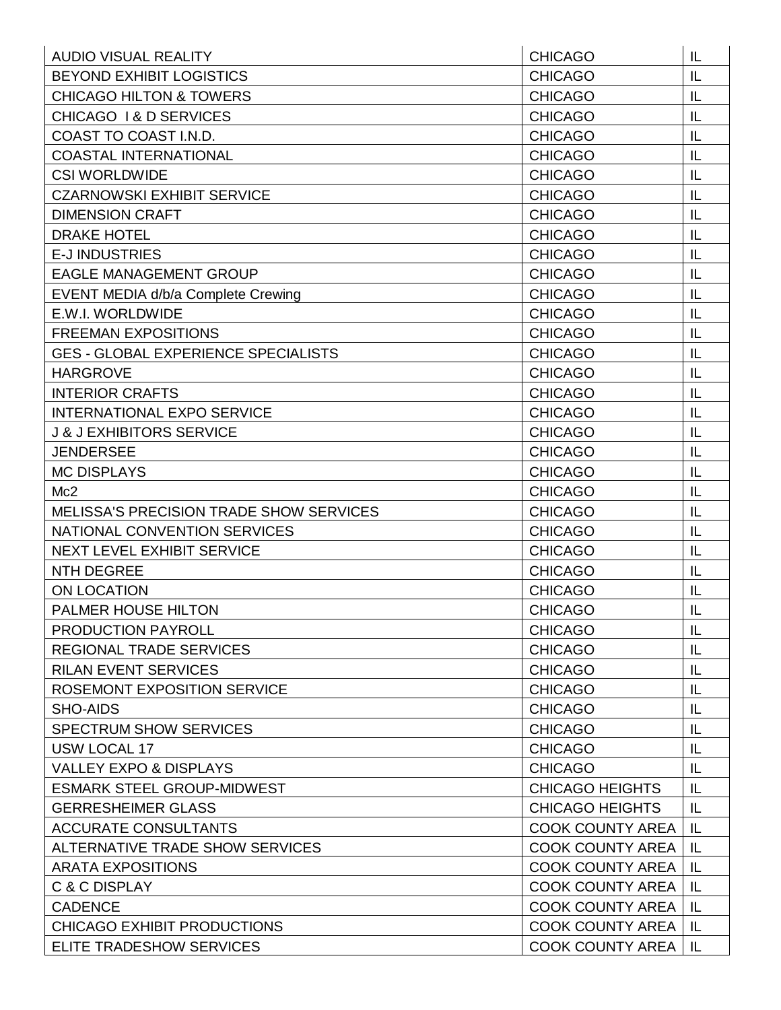| <b>AUDIO VISUAL REALITY</b>                    | <b>CHICAGO</b>          | IL |
|------------------------------------------------|-------------------------|----|
| <b>BEYOND EXHIBIT LOGISTICS</b>                | <b>CHICAGO</b>          | IL |
| <b>CHICAGO HILTON &amp; TOWERS</b>             | <b>CHICAGO</b>          | IL |
| CHICAGO 1& D SERVICES                          | <b>CHICAGO</b>          | IL |
| COAST TO COAST I.N.D.                          | <b>CHICAGO</b>          | IL |
| <b>COASTAL INTERNATIONAL</b>                   | <b>CHICAGO</b>          | IL |
| <b>CSI WORLDWIDE</b>                           | <b>CHICAGO</b>          | IL |
| <b>CZARNOWSKI EXHIBIT SERVICE</b>              | <b>CHICAGO</b>          | IL |
| <b>DIMENSION CRAFT</b>                         | <b>CHICAGO</b>          | IL |
| <b>DRAKE HOTEL</b>                             | <b>CHICAGO</b>          | IL |
| <b>E-JINDUSTRIES</b>                           | <b>CHICAGO</b>          | IL |
| <b>EAGLE MANAGEMENT GROUP</b>                  | <b>CHICAGO</b>          | IL |
| EVENT MEDIA d/b/a Complete Crewing             | <b>CHICAGO</b>          | IL |
| E.W.I. WORLDWIDE                               | <b>CHICAGO</b>          | IL |
| <b>FREEMAN EXPOSITIONS</b>                     | <b>CHICAGO</b>          | IL |
| <b>GES - GLOBAL EXPERIENCE SPECIALISTS</b>     | <b>CHICAGO</b>          | IL |
| <b>HARGROVE</b>                                | <b>CHICAGO</b>          | IL |
| <b>INTERIOR CRAFTS</b>                         | <b>CHICAGO</b>          | IL |
| <b>INTERNATIONAL EXPO SERVICE</b>              | <b>CHICAGO</b>          | IL |
| <b>J &amp; J EXHIBITORS SERVICE</b>            | <b>CHICAGO</b>          | IL |
| <b>JENDERSEE</b>                               | <b>CHICAGO</b>          | IL |
| <b>MC DISPLAYS</b>                             | <b>CHICAGO</b>          | IL |
| Mc2                                            | <b>CHICAGO</b>          | IL |
| <b>MELISSA'S PRECISION TRADE SHOW SERVICES</b> | <b>CHICAGO</b>          | IL |
| NATIONAL CONVENTION SERVICES                   | <b>CHICAGO</b>          | IL |
| <b>NEXT LEVEL EXHIBIT SERVICE</b>              | <b>CHICAGO</b>          | IL |
| <b>NTH DEGREE</b>                              | <b>CHICAGO</b>          | IL |
| <b>ON LOCATION</b>                             | <b>CHICAGO</b>          | IL |
| PALMER HOUSE HILTON                            | <b>CHICAGO</b>          | IL |
| <b>PRODUCTION PAYROLL</b>                      | <b>CHICAGO</b>          | IL |
| <b>REGIONAL TRADE SERVICES</b>                 | <b>CHICAGO</b>          | IL |
| <b>RILAN EVENT SERVICES</b>                    | <b>CHICAGO</b>          | IL |
| ROSEMONT EXPOSITION SERVICE                    | <b>CHICAGO</b>          | IL |
| SHO-AIDS                                       | <b>CHICAGO</b>          | IL |
| <b>SPECTRUM SHOW SERVICES</b>                  | <b>CHICAGO</b>          | IL |
| <b>USW LOCAL 17</b>                            | <b>CHICAGO</b>          | IL |
| <b>VALLEY EXPO &amp; DISPLAYS</b>              | <b>CHICAGO</b>          | IL |
| <b>ESMARK STEEL GROUP-MIDWEST</b>              | <b>CHICAGO HEIGHTS</b>  | IL |
| <b>GERRESHEIMER GLASS</b>                      | <b>CHICAGO HEIGHTS</b>  | IL |
| <b>ACCURATE CONSULTANTS</b>                    | <b>COOK COUNTY AREA</b> | IL |
| ALTERNATIVE TRADE SHOW SERVICES                | <b>COOK COUNTY AREA</b> | IL |
| <b>ARATA EXPOSITIONS</b>                       | <b>COOK COUNTY AREA</b> | IL |
| C & C DISPLAY                                  | <b>COOK COUNTY AREA</b> | IL |
| <b>CADENCE</b>                                 | <b>COOK COUNTY AREA</b> | IL |
| <b>CHICAGO EXHIBIT PRODUCTIONS</b>             | <b>COOK COUNTY AREA</b> | IL |
| ELITE TRADESHOW SERVICES                       | <b>COOK COUNTY AREA</b> | IL |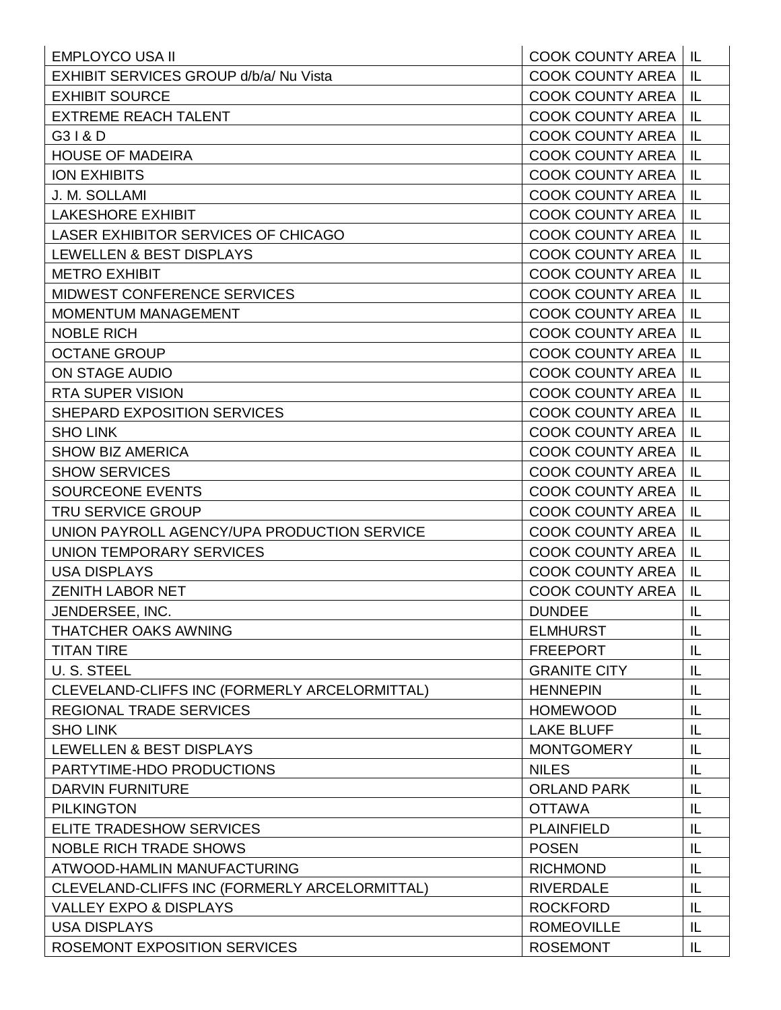| <b>EMPLOYCO USA II</b>                        | <b>COOK COUNTY AREA   IL</b> |     |
|-----------------------------------------------|------------------------------|-----|
| <b>EXHIBIT SERVICES GROUP d/b/a/ Nu Vista</b> | <b>COOK COUNTY AREA</b>      | IL  |
| <b>EXHIBIT SOURCE</b>                         | <b>COOK COUNTY AREA</b>      | -IL |
| <b>EXTREME REACH TALENT</b>                   | <b>COOK COUNTY AREA</b>      | IL  |
| G31&D                                         | <b>COOK COUNTY AREA</b>      | IL  |
| <b>HOUSE OF MADEIRA</b>                       | <b>COOK COUNTY AREA</b>      | IL  |
| <b>ION EXHIBITS</b>                           | <b>COOK COUNTY AREA</b>      | IL  |
| J. M. SOLLAMI                                 | <b>COOK COUNTY AREA</b>      | IL  |
| <b>LAKESHORE EXHIBIT</b>                      | <b>COOK COUNTY AREA</b>      | IL  |
| LASER EXHIBITOR SERVICES OF CHICAGO           | <b>COOK COUNTY AREA</b>      | IL  |
| LEWELLEN & BEST DISPLAYS                      | <b>COOK COUNTY AREA</b>      | IL  |
| <b>METRO EXHIBIT</b>                          | <b>COOK COUNTY AREA</b>      | IL  |
| MIDWEST CONFERENCE SERVICES                   | <b>COOK COUNTY AREA</b>      | IL  |
| MOMENTUM MANAGEMENT                           | <b>COOK COUNTY AREA</b>      | IL  |
| <b>NOBLE RICH</b>                             | <b>COOK COUNTY AREA</b>      | IL  |
| <b>OCTANE GROUP</b>                           | <b>COOK COUNTY AREA</b>      | IL  |
| <b>ON STAGE AUDIO</b>                         | <b>COOK COUNTY AREA</b>      | IL  |
| <b>RTA SUPER VISION</b>                       | <b>COOK COUNTY AREA</b>      | IL  |
| SHEPARD EXPOSITION SERVICES                   | <b>COOK COUNTY AREA</b>      | IL  |
| <b>SHO LINK</b>                               | <b>COOK COUNTY AREA</b>      | IL  |
| <b>SHOW BIZ AMERICA</b>                       | <b>COOK COUNTY AREA</b>      | IL  |
| <b>SHOW SERVICES</b>                          | <b>COOK COUNTY AREA</b>      | IL  |
| <b>SOURCEONE EVENTS</b>                       | <b>COOK COUNTY AREA</b>      | IL  |
| <b>TRU SERVICE GROUP</b>                      | <b>COOK COUNTY AREA</b>      | IL  |
| UNION PAYROLL AGENCY/UPA PRODUCTION SERVICE   | <b>COOK COUNTY AREA</b>      | IL  |
| <b>UNION TEMPORARY SERVICES</b>               | <b>COOK COUNTY AREA</b>      | IL  |
| <b>USA DISPLAYS</b>                           | <b>COOK COUNTY AREA</b>      | IL  |
| <b>ZENITH LABOR NET</b>                       | <b>COOK COUNTY AREA</b>      | IL  |
| JENDERSEE. INC.                               | <b>DUNDEE</b>                | IL  |
| <b>THATCHER OAKS AWNING</b>                   | <b>ELMHURST</b>              | IL  |
| <b>TITAN TIRE</b>                             | <b>FREEPORT</b>              | IL  |
| U. S. STEEL                                   | <b>GRANITE CITY</b>          | IL  |
| CLEVELAND-CLIFFS INC (FORMERLY ARCELORMITTAL) | <b>HENNEPIN</b>              | IL  |
| <b>REGIONAL TRADE SERVICES</b>                | <b>HOMEWOOD</b>              | IL  |
| <b>SHO LINK</b>                               | <b>LAKE BLUFF</b>            | IL  |
| LEWELLEN & BEST DISPLAYS                      | <b>MONTGOMERY</b>            | IL  |
| PARTYTIME-HDO PRODUCTIONS                     | <b>NILES</b>                 | IL  |
| <b>DARVIN FURNITURE</b>                       | <b>ORLAND PARK</b>           | IL  |
| <b>PILKINGTON</b>                             | <b>OTTAWA</b>                | IL  |
| ELITE TRADESHOW SERVICES                      | <b>PLAINFIELD</b>            | IL  |
| <b>NOBLE RICH TRADE SHOWS</b>                 | <b>POSEN</b>                 | IL  |
| ATWOOD-HAMLIN MANUFACTURING                   | <b>RICHMOND</b>              | IL  |
| CLEVELAND-CLIFFS INC (FORMERLY ARCELORMITTAL) | <b>RIVERDALE</b>             | IL  |
| <b>VALLEY EXPO &amp; DISPLAYS</b>             | <b>ROCKFORD</b>              | IL  |
| <b>USA DISPLAYS</b>                           | <b>ROMEOVILLE</b>            | IL  |
| ROSEMONT EXPOSITION SERVICES                  | <b>ROSEMONT</b>              | IL  |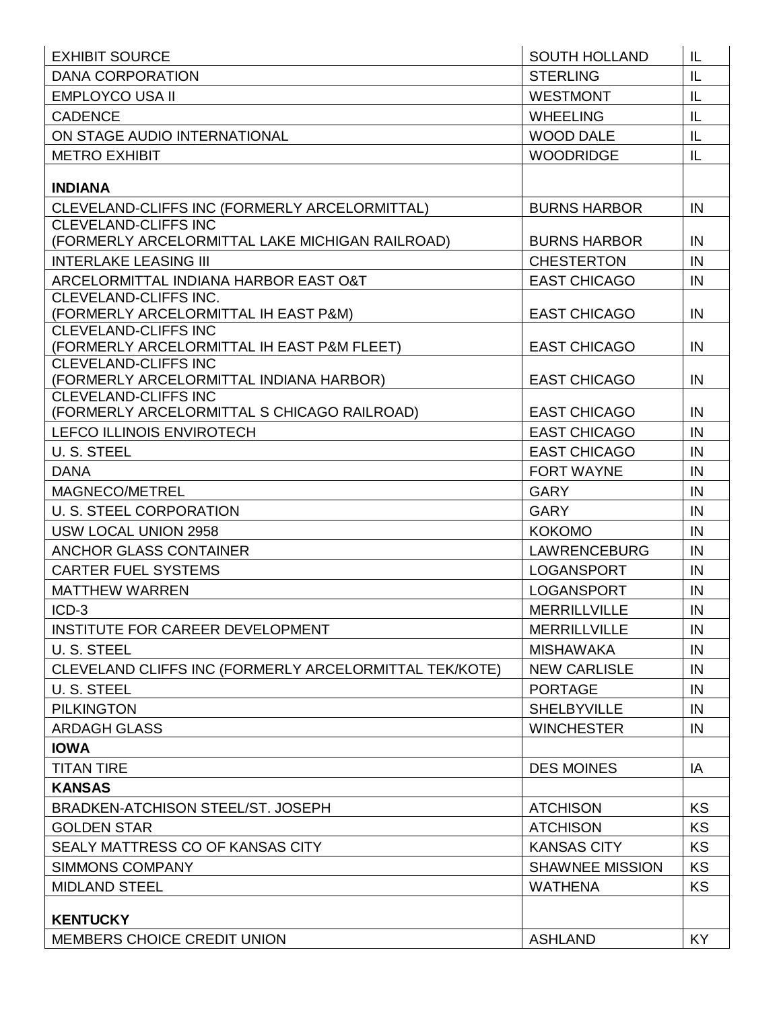| <b>EXHIBIT SOURCE</b>                                         | <b>SOUTH HOLLAND</b>   | IL        |
|---------------------------------------------------------------|------------------------|-----------|
| <b>DANA CORPORATION</b>                                       | <b>STERLING</b>        | IL        |
| <b>EMPLOYCO USA II</b>                                        | <b>WESTMONT</b>        | IL        |
| <b>CADENCE</b>                                                | <b>WHEELING</b>        | IL        |
| ON STAGE AUDIO INTERNATIONAL                                  | <b>WOOD DALE</b>       | IL        |
| <b>METRO EXHIBIT</b>                                          | <b>WOODRIDGE</b>       | IL        |
|                                                               |                        |           |
| <b>INDIANA</b>                                                |                        |           |
| CLEVELAND-CLIFFS INC (FORMERLY ARCELORMITTAL)                 | <b>BURNS HARBOR</b>    | IN        |
| <b>CLEVELAND-CLIFFS INC</b>                                   |                        |           |
| (FORMERLY ARCELORMITTAL LAKE MICHIGAN RAILROAD)               | <b>BURNS HARBOR</b>    | IN        |
| <b>INTERLAKE LEASING III</b>                                  | <b>CHESTERTON</b>      | IN        |
| ARCELORMITTAL INDIANA HARBOR EAST O&T                         | <b>EAST CHICAGO</b>    | IN        |
| CLEVELAND-CLIFFS INC.<br>(FORMERLY ARCELORMITTAL IH EAST P&M) |                        | IN        |
| <b>CLEVELAND-CLIFFS INC</b>                                   | <b>EAST CHICAGO</b>    |           |
| (FORMERLY ARCELORMITTAL IH EAST P&M FLEET)                    | <b>EAST CHICAGO</b>    | IN        |
| <b>CLEVELAND-CLIFFS INC</b>                                   |                        |           |
| (FORMERLY ARCELORMITTAL INDIANA HARBOR)                       | <b>EAST CHICAGO</b>    | IN        |
| <b>CLEVELAND-CLIFFS INC</b>                                   |                        |           |
| (FORMERLY ARCELORMITTAL S CHICAGO RAILROAD)                   | <b>EAST CHICAGO</b>    | IN        |
| <b>LEFCO ILLINOIS ENVIROTECH</b>                              | <b>EAST CHICAGO</b>    | IN        |
| U. S. STEEL                                                   | <b>EAST CHICAGO</b>    | IN        |
| <b>DANA</b>                                                   | <b>FORT WAYNE</b>      | IN        |
| MAGNECO/METREL                                                | <b>GARY</b>            | IN        |
| U. S. STEEL CORPORATION                                       | <b>GARY</b>            | IN        |
| USW LOCAL UNION 2958                                          | <b>KOKOMO</b>          | IN        |
| <b>ANCHOR GLASS CONTAINER</b>                                 | <b>LAWRENCEBURG</b>    | IN        |
| <b>CARTER FUEL SYSTEMS</b>                                    | <b>LOGANSPORT</b>      | IN        |
| <b>MATTHEW WARREN</b>                                         | <b>LOGANSPORT</b>      | IN        |
| $ICD-3$                                                       | <b>MERRILLVILLE</b>    | IN        |
| INSTITUTE FOR CAREER DEVELOPMENT                              | <b>MERRILLVILLE</b>    | IN        |
| U. S. STEEL                                                   | <b>MISHAWAKA</b>       | IN        |
| CLEVELAND CLIFFS INC (FORMERLY ARCELORMITTAL TEK/KOTE)        | <b>NEW CARLISLE</b>    | IN        |
| U. S. STEEL                                                   | <b>PORTAGE</b>         | IN        |
| <b>PILKINGTON</b>                                             | <b>SHELBYVILLE</b>     | IN        |
| <b>ARDAGH GLASS</b>                                           | <b>WINCHESTER</b>      | IN        |
| <b>IOWA</b>                                                   |                        |           |
| <b>TITAN TIRE</b>                                             | <b>DES MOINES</b>      | IA        |
| <b>KANSAS</b>                                                 |                        |           |
| <b>BRADKEN-ATCHISON STEEL/ST. JOSEPH</b>                      | <b>ATCHISON</b>        | <b>KS</b> |
| <b>GOLDEN STAR</b>                                            | <b>ATCHISON</b>        | KS        |
| SEALY MATTRESS CO OF KANSAS CITY                              | <b>KANSAS CITY</b>     | <b>KS</b> |
| <b>SIMMONS COMPANY</b>                                        | <b>SHAWNEE MISSION</b> | <b>KS</b> |
|                                                               |                        |           |
| <b>MIDLAND STEEL</b>                                          | <b>WATHENA</b>         | KS        |
| <b>KENTUCKY</b>                                               |                        |           |
| <b>MEMBERS CHOICE CREDIT UNION</b>                            | <b>ASHLAND</b>         | KY        |
|                                                               |                        |           |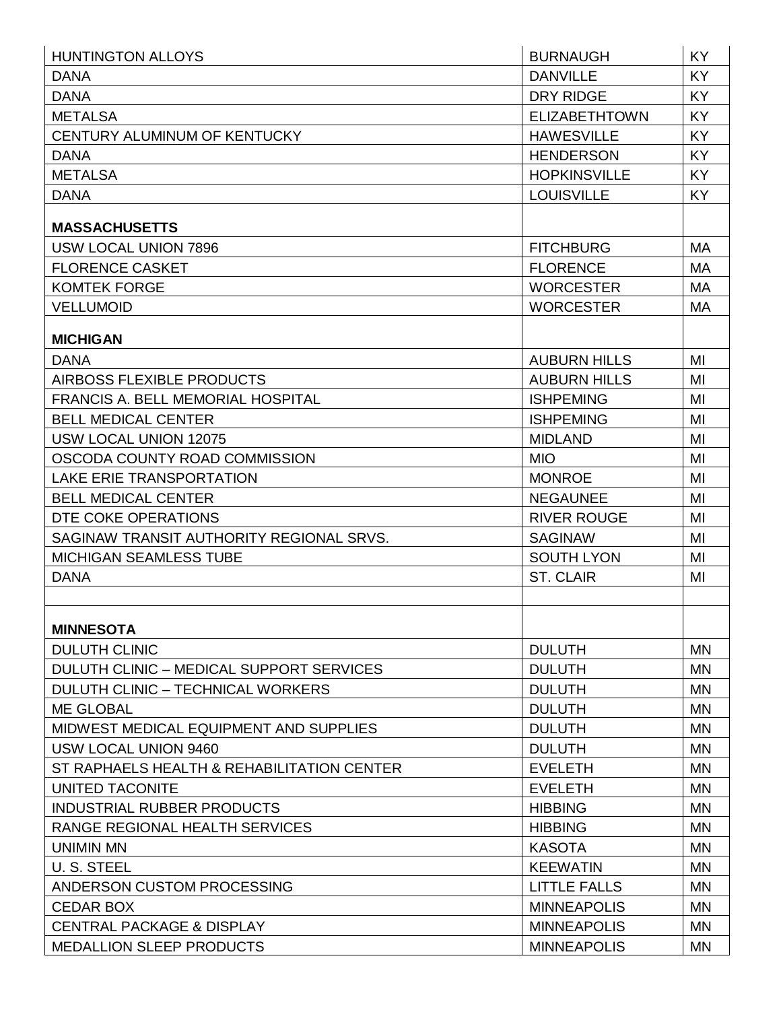| <b>HUNTINGTON ALLOYS</b>                   | <b>BURNAUGH</b>      | KY        |
|--------------------------------------------|----------------------|-----------|
| <b>DANA</b>                                | <b>DANVILLE</b>      | <b>KY</b> |
| <b>DANA</b>                                | <b>DRY RIDGE</b>     | KY        |
| <b>METALSA</b>                             | <b>ELIZABETHTOWN</b> | <b>KY</b> |
| CENTURY ALUMINUM OF KENTUCKY               | <b>HAWESVILLE</b>    | <b>KY</b> |
| <b>DANA</b>                                | <b>HENDERSON</b>     | <b>KY</b> |
| <b>METALSA</b>                             | <b>HOPKINSVILLE</b>  | <b>KY</b> |
| <b>DANA</b>                                | <b>LOUISVILLE</b>    | <b>KY</b> |
| <b>MASSACHUSETTS</b>                       |                      |           |
| USW LOCAL UNION 7896                       | <b>FITCHBURG</b>     | <b>MA</b> |
| <b>FLORENCE CASKET</b>                     | <b>FLORENCE</b>      | <b>MA</b> |
| <b>KOMTEK FORGE</b>                        | <b>WORCESTER</b>     | <b>MA</b> |
| <b>VELLUMOID</b>                           | <b>WORCESTER</b>     | MA        |
| <b>MICHIGAN</b>                            |                      |           |
| <b>DANA</b>                                | <b>AUBURN HILLS</b>  | MI        |
| AIRBOSS FLEXIBLE PRODUCTS                  | <b>AUBURN HILLS</b>  | MI        |
| <b>FRANCIS A. BELL MEMORIAL HOSPITAL</b>   | <b>ISHPEMING</b>     | MI        |
| <b>BELL MEDICAL CENTER</b>                 | <b>ISHPEMING</b>     | MI        |
| USW LOCAL UNION 12075                      | <b>MIDLAND</b>       | MI        |
| OSCODA COUNTY ROAD COMMISSION              | <b>MIO</b>           | MI        |
| <b>LAKE ERIE TRANSPORTATION</b>            | <b>MONROE</b>        | MI        |
| <b>BELL MEDICAL CENTER</b>                 | <b>NEGAUNEE</b>      | MI        |
| DTE COKE OPERATIONS                        | <b>RIVER ROUGE</b>   | MI        |
| SAGINAW TRANSIT AUTHORITY REGIONAL SRVS.   | <b>SAGINAW</b>       | MI        |
| <b>MICHIGAN SEAMLESS TUBE</b>              | <b>SOUTH LYON</b>    | MI        |
| <b>DANA</b>                                | <b>ST. CLAIR</b>     | MI        |
|                                            |                      |           |
| <b>MINNESOTA</b>                           |                      |           |
| <b>DULUTH CLINIC</b>                       | <b>DULUTH</b>        | <b>MN</b> |
| DULUTH CLINIC - MEDICAL SUPPORT SERVICES   | <b>DULUTH</b>        | <b>MN</b> |
| DULUTH CLINIC - TECHNICAL WORKERS          | <b>DULUTH</b>        | <b>MN</b> |
| <b>ME GLOBAL</b>                           | <b>DULUTH</b>        | <b>MN</b> |
| MIDWEST MEDICAL EQUIPMENT AND SUPPLIES     | <b>DULUTH</b>        | <b>MN</b> |
| USW LOCAL UNION 9460                       | <b>DULUTH</b>        | <b>MN</b> |
| ST RAPHAELS HEALTH & REHABILITATION CENTER | <b>EVELETH</b>       | <b>MN</b> |
| UNITED TACONITE                            | <b>EVELETH</b>       | <b>MN</b> |
| <b>INDUSTRIAL RUBBER PRODUCTS</b>          | <b>HIBBING</b>       | <b>MN</b> |
| RANGE REGIONAL HEALTH SERVICES             | <b>HIBBING</b>       | <b>MN</b> |
| <b>UNIMIN MN</b>                           | <b>KASOTA</b>        | <b>MN</b> |
| U. S. STEEL                                | <b>KEEWATIN</b>      | <b>MN</b> |
| ANDERSON CUSTOM PROCESSING                 | <b>LITTLE FALLS</b>  | <b>MN</b> |
| <b>CEDAR BOX</b>                           | <b>MINNEAPOLIS</b>   | <b>MN</b> |
| <b>CENTRAL PACKAGE &amp; DISPLAY</b>       | <b>MINNEAPOLIS</b>   | <b>MN</b> |
| <b>MEDALLION SLEEP PRODUCTS</b>            | <b>MINNEAPOLIS</b>   | <b>MN</b> |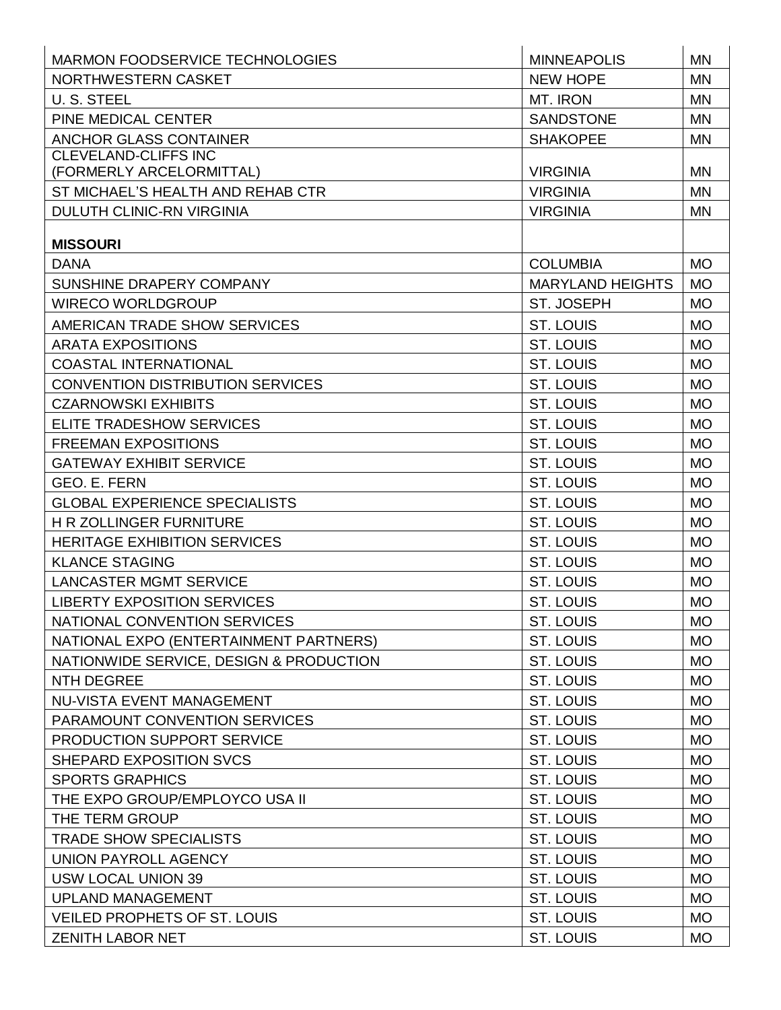| MARMON FOODSERVICE TECHNOLOGIES         | <b>MINNEAPOLIS</b>      | <b>MN</b> |
|-----------------------------------------|-------------------------|-----------|
| NORTHWESTERN CASKET                     | <b>NEW HOPE</b>         | <b>MN</b> |
| U. S. STEEL                             | MT. IRON                | <b>MN</b> |
| PINE MEDICAL CENTER                     | <b>SANDSTONE</b>        | <b>MN</b> |
| <b>ANCHOR GLASS CONTAINER</b>           | <b>SHAKOPEE</b>         | <b>MN</b> |
| <b>CLEVELAND-CLIFFS INC</b>             |                         |           |
| (FORMERLY ARCELORMITTAL)                | <b>VIRGINIA</b>         | <b>MN</b> |
| ST MICHAEL'S HEALTH AND REHAB CTR       | <b>VIRGINIA</b>         | <b>MN</b> |
| <b>DULUTH CLINIC-RN VIRGINIA</b>        | <b>VIRGINIA</b>         | <b>MN</b> |
| <b>MISSOURI</b>                         |                         |           |
| <b>DANA</b>                             | <b>COLUMBIA</b>         | <b>MO</b> |
| SUNSHINE DRAPERY COMPANY                | <b>MARYLAND HEIGHTS</b> | <b>MO</b> |
| <b>WIRECO WORLDGROUP</b>                | ST. JOSEPH              | <b>MO</b> |
| AMERICAN TRADE SHOW SERVICES            | <b>ST. LOUIS</b>        | <b>MO</b> |
| <b>ARATA EXPOSITIONS</b>                | <b>ST. LOUIS</b>        | <b>MO</b> |
| <b>COASTAL INTERNATIONAL</b>            | ST. LOUIS               | <b>MO</b> |
| <b>CONVENTION DISTRIBUTION SERVICES</b> | <b>ST. LOUIS</b>        | <b>MO</b> |
| <b>CZARNOWSKI EXHIBITS</b>              | <b>ST. LOUIS</b>        | <b>MO</b> |
| ELITE TRADESHOW SERVICES                | <b>ST. LOUIS</b>        | <b>MO</b> |
| <b>FREEMAN EXPOSITIONS</b>              | <b>ST. LOUIS</b>        | <b>MO</b> |
| <b>GATEWAY EXHIBIT SERVICE</b>          | <b>ST. LOUIS</b>        | <b>MO</b> |
| <b>GEO. E. FERN</b>                     | <b>ST. LOUIS</b>        | <b>MO</b> |
| <b>GLOBAL EXPERIENCE SPECIALISTS</b>    | ST. LOUIS               | <b>MO</b> |
| <b>H R ZOLLINGER FURNITURE</b>          | ST. LOUIS               | <b>MO</b> |
| <b>HERITAGE EXHIBITION SERVICES</b>     | <b>ST. LOUIS</b>        | <b>MO</b> |
| <b>KLANCE STAGING</b>                   | <b>ST. LOUIS</b>        | <b>MO</b> |
| <b>LANCASTER MGMT SERVICE</b>           | <b>ST. LOUIS</b>        | <b>MO</b> |
| <b>LIBERTY EXPOSITION SERVICES</b>      | <b>ST. LOUIS</b>        | <b>MO</b> |
| NATIONAL CONVENTION SERVICES            | <b>ST. LOUIS</b>        | <b>MO</b> |
| NATIONAL EXPO (ENTERTAINMENT PARTNERS)  | ST. LOUIS               | <b>MO</b> |
| NATIONWIDE SERVICE, DESIGN & PRODUCTION | ST. LOUIS               | <b>MO</b> |
| <b>NTH DEGREE</b>                       | ST. LOUIS               | <b>MO</b> |
| NU-VISTA EVENT MANAGEMENT               | ST. LOUIS               | <b>MO</b> |
| PARAMOUNT CONVENTION SERVICES           | ST. LOUIS               | <b>MO</b> |
| PRODUCTION SUPPORT SERVICE              | ST. LOUIS               | <b>MO</b> |
| SHEPARD EXPOSITION SVCS                 | ST. LOUIS               | <b>MO</b> |
| <b>SPORTS GRAPHICS</b>                  | ST. LOUIS               | <b>MO</b> |
| THE EXPO GROUP/EMPLOYCO USA II          | ST. LOUIS               | <b>MO</b> |
| THE TERM GROUP                          | ST. LOUIS               | <b>MO</b> |
| <b>TRADE SHOW SPECIALISTS</b>           | ST. LOUIS               | <b>MO</b> |
| <b>UNION PAYROLL AGENCY</b>             | ST. LOUIS               | <b>MO</b> |
| <b>USW LOCAL UNION 39</b>               | ST. LOUIS               | <b>MO</b> |
| UPLAND MANAGEMENT                       | ST. LOUIS               | <b>MO</b> |
| <b>VEILED PROPHETS OF ST. LOUIS</b>     | ST. LOUIS               | <b>MO</b> |
| <b>ZENITH LABOR NET</b>                 | ST. LOUIS               | <b>MO</b> |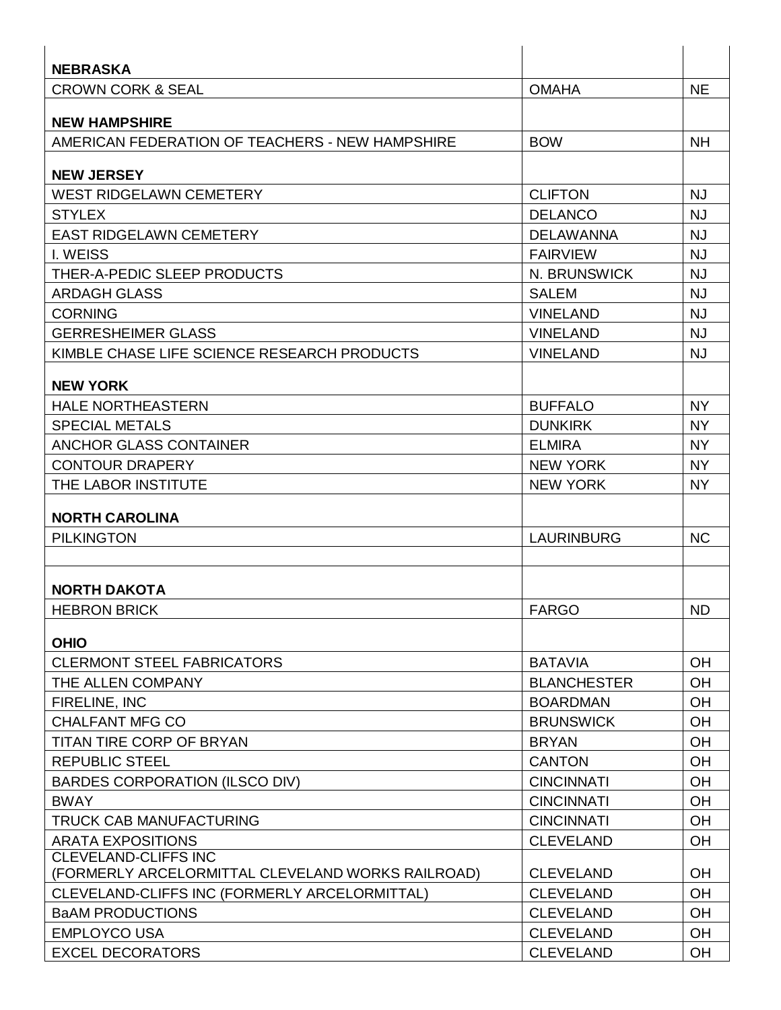| <b>NEBRASKA</b>                                                                  |                    |           |
|----------------------------------------------------------------------------------|--------------------|-----------|
| <b>CROWN CORK &amp; SEAL</b>                                                     | <b>OMAHA</b>       | <b>NE</b> |
| <b>NEW HAMPSHIRE</b>                                                             |                    |           |
| AMERICAN FEDERATION OF TEACHERS - NEW HAMPSHIRE                                  | <b>BOW</b>         | <b>NH</b> |
|                                                                                  |                    |           |
| <b>NEW JERSEY</b>                                                                |                    |           |
| <b>WEST RIDGELAWN CEMETERY</b>                                                   | <b>CLIFTON</b>     | <b>NJ</b> |
| <b>STYLEX</b>                                                                    | <b>DELANCO</b>     | <b>NJ</b> |
| <b>EAST RIDGELAWN CEMETERY</b>                                                   | <b>DELAWANNA</b>   | <b>NJ</b> |
| I. WEISS                                                                         | <b>FAIRVIEW</b>    | <b>NJ</b> |
| THER-A-PEDIC SLEEP PRODUCTS                                                      | N. BRUNSWICK       | <b>NJ</b> |
| <b>ARDAGH GLASS</b>                                                              | <b>SALEM</b>       | <b>NJ</b> |
| <b>CORNING</b>                                                                   | <b>VINELAND</b>    | <b>NJ</b> |
| <b>GERRESHEIMER GLASS</b>                                                        | <b>VINELAND</b>    | <b>NJ</b> |
| KIMBLE CHASE LIFE SCIENCE RESEARCH PRODUCTS                                      | <b>VINELAND</b>    | <b>NJ</b> |
| <b>NEW YORK</b>                                                                  |                    |           |
| <b>HALE NORTHEASTERN</b>                                                         | <b>BUFFALO</b>     | <b>NY</b> |
| <b>SPECIAL METALS</b>                                                            | <b>DUNKIRK</b>     | <b>NY</b> |
| <b>ANCHOR GLASS CONTAINER</b>                                                    | <b>ELMIRA</b>      | <b>NY</b> |
| <b>CONTOUR DRAPERY</b>                                                           | <b>NEW YORK</b>    | <b>NY</b> |
| THE LABOR INSTITUTE                                                              | <b>NEW YORK</b>    | <b>NY</b> |
|                                                                                  |                    |           |
| <b>NORTH CAROLINA</b>                                                            |                    |           |
| <b>PILKINGTON</b>                                                                | <b>LAURINBURG</b>  | <b>NC</b> |
|                                                                                  |                    |           |
| <b>NORTH DAKOTA</b>                                                              |                    |           |
| <b>HEBRON BRICK</b>                                                              | <b>FARGO</b>       | <b>ND</b> |
|                                                                                  |                    |           |
| <b>OHIO</b>                                                                      |                    |           |
| <b>CLERMONT STEEL FABRICATORS</b>                                                | <b>BATAVIA</b>     | OH        |
| THE ALLEN COMPANY                                                                | <b>BLANCHESTER</b> | OH        |
| FIRELINE, INC                                                                    | <b>BOARDMAN</b>    | OH        |
| <b>CHALFANT MFG CO</b>                                                           | <b>BRUNSWICK</b>   | OH        |
| TITAN TIRE CORP OF BRYAN                                                         | <b>BRYAN</b>       | OH        |
| <b>REPUBLIC STEEL</b>                                                            | <b>CANTON</b>      | OH        |
| <b>BARDES CORPORATION (ILSCO DIV)</b>                                            | <b>CINCINNATI</b>  | OH        |
| <b>BWAY</b>                                                                      | <b>CINCINNATI</b>  | OH        |
| TRUCK CAB MANUFACTURING                                                          | <b>CINCINNATI</b>  | OH        |
| <b>ARATA EXPOSITIONS</b>                                                         | <b>CLEVELAND</b>   | <b>OH</b> |
| <b>CLEVELAND-CLIFFS INC</b><br>(FORMERLY ARCELORMITTAL CLEVELAND WORKS RAILROAD) | <b>CLEVELAND</b>   | OH        |
|                                                                                  | <b>CLEVELAND</b>   | OH        |
| CLEVELAND-CLIFFS INC (FORMERLY ARCELORMITTAL)<br><b>BaAM PRODUCTIONS</b>         |                    | OH        |
|                                                                                  | <b>CLEVELAND</b>   |           |
| <b>EMPLOYCO USA</b>                                                              | <b>CLEVELAND</b>   | OH        |
| <b>EXCEL DECORATORS</b>                                                          | <b>CLEVELAND</b>   | OH        |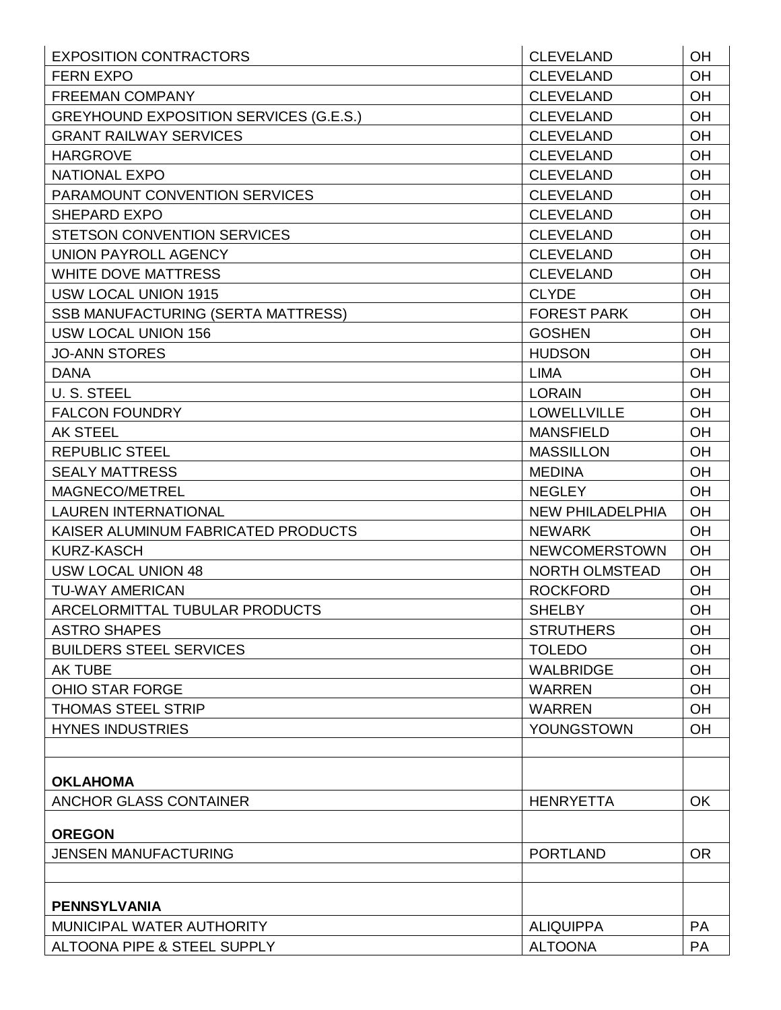| <b>EXPOSITION CONTRACTORS</b>                 | <b>CLEVELAND</b>        | <b>OH</b> |
|-----------------------------------------------|-------------------------|-----------|
| <b>FERN EXPO</b>                              | <b>CLEVELAND</b>        | <b>OH</b> |
| <b>FREEMAN COMPANY</b>                        | <b>CLEVELAND</b>        | <b>OH</b> |
| <b>GREYHOUND EXPOSITION SERVICES (G.E.S.)</b> | <b>CLEVELAND</b>        | OH        |
| <b>GRANT RAILWAY SERVICES</b>                 | <b>CLEVELAND</b>        | OH        |
| <b>HARGROVE</b>                               | <b>CLEVELAND</b>        | <b>OH</b> |
| <b>NATIONAL EXPO</b>                          | <b>CLEVELAND</b>        | <b>OH</b> |
| PARAMOUNT CONVENTION SERVICES                 | <b>CLEVELAND</b>        | <b>OH</b> |
| <b>SHEPARD EXPO</b>                           | <b>CLEVELAND</b>        | OH        |
| <b>STETSON CONVENTION SERVICES</b>            | <b>CLEVELAND</b>        | OH        |
| UNION PAYROLL AGENCY                          | <b>CLEVELAND</b>        | <b>OH</b> |
| <b>WHITE DOVE MATTRESS</b>                    | <b>CLEVELAND</b>        | <b>OH</b> |
| <b>USW LOCAL UNION 1915</b>                   | <b>CLYDE</b>            | <b>OH</b> |
| <b>SSB MANUFACTURING (SERTA MATTRESS)</b>     | <b>FOREST PARK</b>      | <b>OH</b> |
| <b>USW LOCAL UNION 156</b>                    | <b>GOSHEN</b>           | OH        |
| <b>JO-ANN STORES</b>                          | <b>HUDSON</b>           | <b>OH</b> |
| <b>DANA</b>                                   | <b>LIMA</b>             | OH        |
| U. S. STEEL                                   | <b>LORAIN</b>           | <b>OH</b> |
| <b>FALCON FOUNDRY</b>                         | <b>LOWELLVILLE</b>      | <b>OH</b> |
| <b>AK STEEL</b>                               | <b>MANSFIELD</b>        | <b>OH</b> |
| <b>REPUBLIC STEEL</b>                         | <b>MASSILLON</b>        | OH        |
| <b>SEALY MATTRESS</b>                         | <b>MEDINA</b>           | OH        |
| MAGNECO/METREL                                | <b>NEGLEY</b>           | <b>OH</b> |
| <b>LAUREN INTERNATIONAL</b>                   | <b>NEW PHILADELPHIA</b> | <b>OH</b> |
| KAISER ALUMINUM FABRICATED PRODUCTS           | <b>NEWARK</b>           | OH        |
| KURZ-KASCH                                    | <b>NEWCOMERSTOWN</b>    | <b>OH</b> |
| <b>USW LOCAL UNION 48</b>                     | <b>NORTH OLMSTEAD</b>   | <b>OH</b> |
| <b>TU-WAY AMERICAN</b>                        | <b>ROCKFORD</b>         | <b>OH</b> |
| ARCELORMITTAL TUBULAR PRODUCTS                | <b>SHELBY</b>           | OH        |
| <b>ASTRO SHAPES</b>                           | <b>STRUTHERS</b>        | <b>OH</b> |
| <b>BUILDERS STEEL SERVICES</b>                | <b>TOLEDO</b>           | <b>OH</b> |
| <b>AK TUBE</b>                                | <b>WALBRIDGE</b>        | <b>OH</b> |
| <b>OHIO STAR FORGE</b>                        | <b>WARREN</b>           | <b>OH</b> |
| <b>THOMAS STEEL STRIP</b>                     | <b>WARREN</b>           | OH        |
| <b>HYNES INDUSTRIES</b>                       | YOUNGSTOWN              | <b>OH</b> |
|                                               |                         |           |
|                                               |                         |           |
| <b>OKLAHOMA</b>                               |                         |           |
| <b>ANCHOR GLASS CONTAINER</b>                 | <b>HENRYETTA</b>        | OK        |
| <b>OREGON</b>                                 |                         |           |
| <b>JENSEN MANUFACTURING</b>                   | <b>PORTLAND</b>         | <b>OR</b> |
|                                               |                         |           |
| <b>PENNSYLVANIA</b>                           |                         |           |
| MUNICIPAL WATER AUTHORITY                     | <b>ALIQUIPPA</b>        | <b>PA</b> |
| ALTOONA PIPE & STEEL SUPPLY                   | <b>ALTOONA</b>          | PA        |
|                                               |                         |           |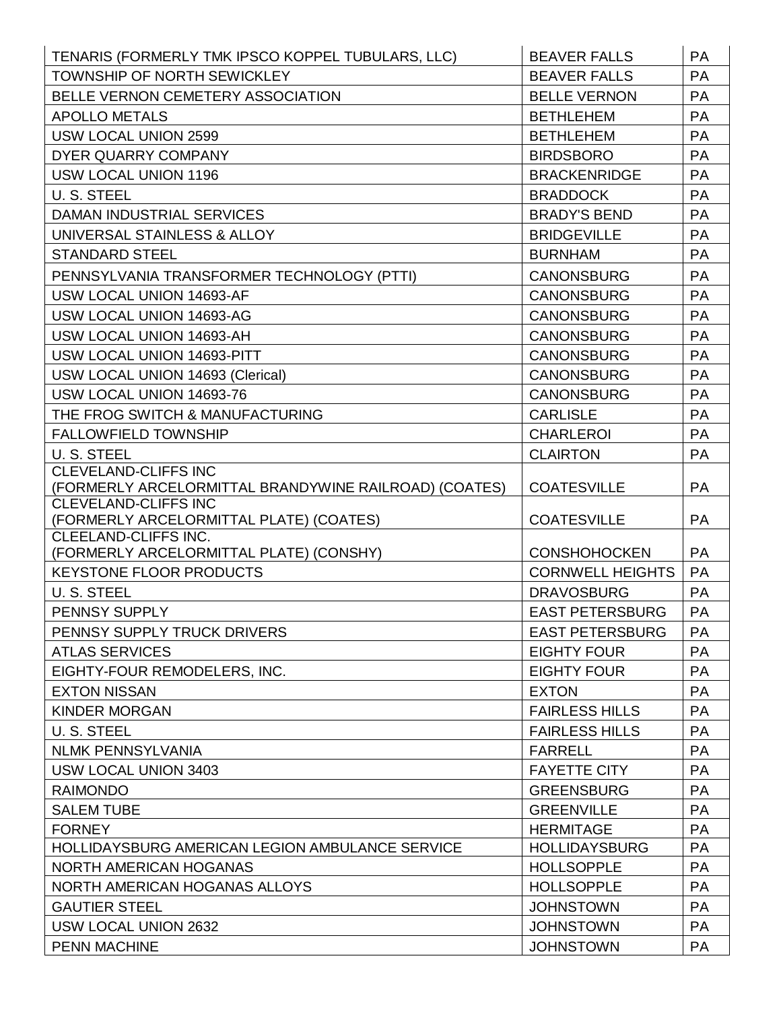| TENARIS (FORMERLY TMK IPSCO KOPPEL TUBULARS, LLC)                         | <b>BEAVER FALLS</b>                            | <b>PA</b>              |
|---------------------------------------------------------------------------|------------------------------------------------|------------------------|
| TOWNSHIP OF NORTH SEWICKLEY                                               | <b>BEAVER FALLS</b>                            | <b>PA</b>              |
| BELLE VERNON CEMETERY ASSOCIATION                                         | <b>BELLE VERNON</b>                            | <b>PA</b>              |
| <b>APOLLO METALS</b>                                                      | <b>BETHLEHEM</b>                               | <b>PA</b>              |
| <b>USW LOCAL UNION 2599</b>                                               | <b>BETHLEHEM</b>                               | <b>PA</b>              |
| <b>DYER QUARRY COMPANY</b>                                                | <b>BIRDSBORO</b>                               | <b>PA</b>              |
| <b>USW LOCAL UNION 1196</b>                                               | <b>BRACKENRIDGE</b>                            | <b>PA</b>              |
| U. S. STEEL                                                               | <b>BRADDOCK</b>                                | <b>PA</b>              |
| DAMAN INDUSTRIAL SERVICES                                                 | <b>BRADY'S BEND</b>                            | <b>PA</b>              |
| UNIVERSAL STAINLESS & ALLOY                                               | <b>BRIDGEVILLE</b>                             | PA                     |
| <b>STANDARD STEEL</b>                                                     | <b>BURNHAM</b>                                 | PA                     |
| PENNSYLVANIA TRANSFORMER TECHNOLOGY (PTTI)                                | <b>CANONSBURG</b>                              | <b>PA</b>              |
| USW LOCAL UNION 14693-AF                                                  | <b>CANONSBURG</b>                              | PA                     |
| USW LOCAL UNION 14693-AG                                                  | <b>CANONSBURG</b>                              | PA                     |
| USW LOCAL UNION 14693-AH                                                  | <b>CANONSBURG</b>                              | PA                     |
| USW LOCAL UNION 14693-PITT                                                | <b>CANONSBURG</b>                              | PA                     |
| USW LOCAL UNION 14693 (Clerical)                                          | <b>CANONSBURG</b>                              | PA                     |
| USW LOCAL UNION 14693-76                                                  | <b>CANONSBURG</b>                              | PA                     |
| THE FROG SWITCH & MANUFACTURING                                           | <b>CARLISLE</b>                                | PA                     |
| <b>FALLOWFIELD TOWNSHIP</b>                                               | <b>CHARLEROI</b>                               | PA                     |
| U. S. STEEL                                                               | <b>CLAIRTON</b>                                | <b>PA</b>              |
| <b>CLEVELAND-CLIFFS INC</b>                                               |                                                |                        |
| (FORMERLY ARCELORMITTAL BRANDYWINE RAILROAD) (COATES)                     | <b>COATESVILLE</b>                             | <b>PA</b>              |
| <b>CLEVELAND-CLIFFS INC</b>                                               |                                                |                        |
|                                                                           |                                                |                        |
| (FORMERLY ARCELORMITTAL PLATE) (COATES)                                   | <b>COATESVILLE</b>                             | <b>PA</b>              |
| CLEELAND-CLIFFS INC.                                                      |                                                |                        |
| (FORMERLY ARCELORMITTAL PLATE) (CONSHY)<br><b>KEYSTONE FLOOR PRODUCTS</b> | <b>CONSHOHOCKEN</b><br><b>CORNWELL HEIGHTS</b> | <b>PA</b><br><b>PA</b> |
|                                                                           | <b>DRAVOSBURG</b>                              | <b>PA</b>              |
| U.S. STEEL<br>PENNSY SUPPLY                                               | <b>EAST PETERSBURG</b>                         | <b>PA</b>              |
| PENNSY SUPPLY TRUCK DRIVERS                                               | <b>EAST PETERSBURG</b>                         | <b>PA</b>              |
| <b>ATLAS SERVICES</b>                                                     | <b>EIGHTY FOUR</b>                             | PA                     |
| EIGHTY-FOUR REMODELERS, INC.                                              | <b>EIGHTY FOUR</b>                             | PA                     |
| <b>EXTON NISSAN</b>                                                       | <b>EXTON</b>                                   | <b>PA</b>              |
| <b>KINDER MORGAN</b>                                                      | <b>FAIRLESS HILLS</b>                          | PA                     |
| U. S. STEEL                                                               | <b>FAIRLESS HILLS</b>                          | <b>PA</b>              |
| <b>NLMK PENNSYLVANIA</b>                                                  | <b>FARRELL</b>                                 | <b>PA</b>              |
| <b>USW LOCAL UNION 3403</b>                                               | <b>FAYETTE CITY</b>                            | <b>PA</b>              |
| <b>RAIMONDO</b>                                                           | <b>GREENSBURG</b>                              | PA                     |
| <b>SALEM TUBE</b>                                                         | <b>GREENVILLE</b>                              | <b>PA</b>              |
| <b>FORNEY</b>                                                             | <b>HERMITAGE</b>                               | PA                     |
| HOLLIDAYSBURG AMERICAN LEGION AMBULANCE SERVICE                           | <b>HOLLIDAYSBURG</b>                           | PA                     |
| NORTH AMERICAN HOGANAS                                                    | <b>HOLLSOPPLE</b>                              | <b>PA</b>              |
| NORTH AMERICAN HOGANAS ALLOYS                                             | <b>HOLLSOPPLE</b>                              | PA                     |
| <b>GAUTIER STEEL</b>                                                      | <b>JOHNSTOWN</b>                               | <b>PA</b>              |
| USW LOCAL UNION 2632                                                      | <b>JOHNSTOWN</b>                               | <b>PA</b>              |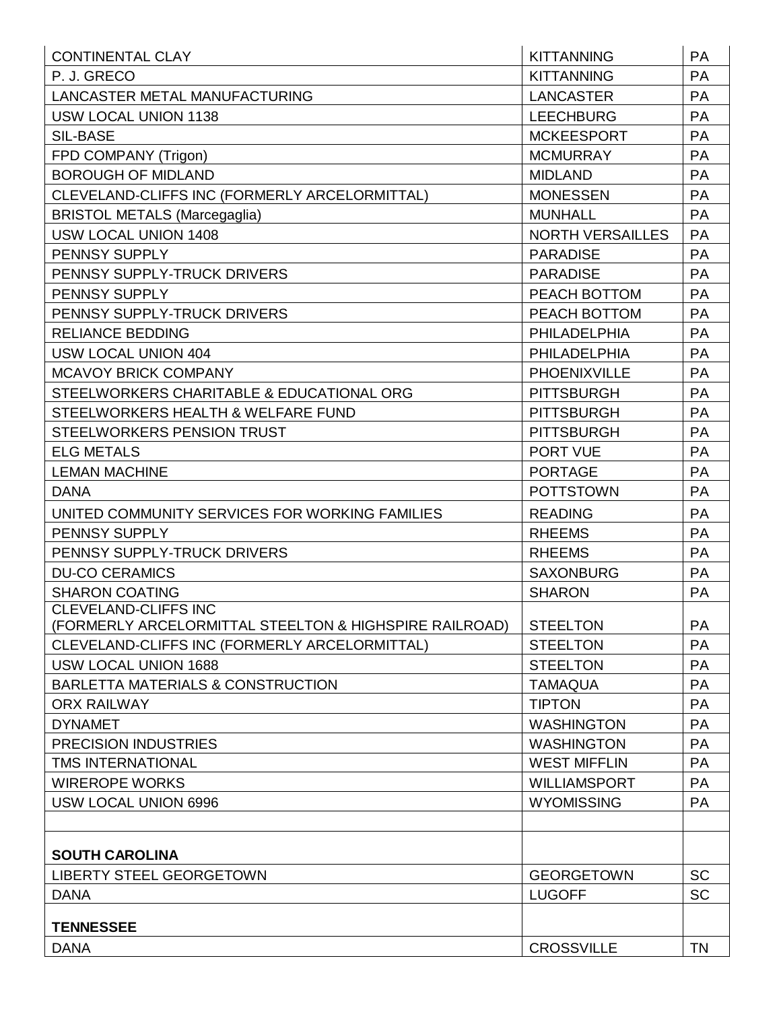| <b>CONTINENTAL CLAY</b>                                | <b>KITTANNING</b>       | PA        |
|--------------------------------------------------------|-------------------------|-----------|
| P. J. GRECO                                            | <b>KITTANNING</b>       | PA        |
| <b>LANCASTER METAL MANUFACTURING</b>                   | <b>LANCASTER</b>        | PA        |
| <b>USW LOCAL UNION 1138</b>                            | <b>LEECHBURG</b>        | PA        |
| <b>SIL-BASE</b>                                        | <b>MCKEESPORT</b>       | <b>PA</b> |
| FPD COMPANY (Trigon)                                   | <b>MCMURRAY</b>         | PA        |
| <b>BOROUGH OF MIDLAND</b>                              | <b>MIDLAND</b>          | PA        |
| CLEVELAND-CLIFFS INC (FORMERLY ARCELORMITTAL)          | <b>MONESSEN</b>         | PA        |
| <b>BRISTOL METALS (Marcegaglia)</b>                    | <b>MUNHALL</b>          | PA        |
| USW LOCAL UNION 1408                                   | <b>NORTH VERSAILLES</b> | PA        |
| PENNSY SUPPLY                                          | <b>PARADISE</b>         | <b>PA</b> |
| PENNSY SUPPLY-TRUCK DRIVERS                            | <b>PARADISE</b>         | PA        |
| <b>PENNSY SUPPLY</b>                                   | PEACH BOTTOM            | PA        |
| PENNSY SUPPLY-TRUCK DRIVERS                            | PEACH BOTTOM            | <b>PA</b> |
| <b>RELIANCE BEDDING</b>                                | <b>PHILADELPHIA</b>     | PA        |
| <b>USW LOCAL UNION 404</b>                             | <b>PHILADELPHIA</b>     | PA        |
| <b>MCAVOY BRICK COMPANY</b>                            | <b>PHOENIXVILLE</b>     | <b>PA</b> |
| STEELWORKERS CHARITABLE & EDUCATIONAL ORG              | <b>PITTSBURGH</b>       | PA        |
| STEELWORKERS HEALTH & WELFARE FUND                     | <b>PITTSBURGH</b>       | <b>PA</b> |
| <b>STEELWORKERS PENSION TRUST</b>                      | <b>PITTSBURGH</b>       | <b>PA</b> |
| <b>ELG METALS</b>                                      | <b>PORT VUE</b>         | PA        |
| <b>LEMAN MACHINE</b>                                   | <b>PORTAGE</b>          | PA        |
| <b>DANA</b>                                            | <b>POTTSTOWN</b>        | PA        |
| UNITED COMMUNITY SERVICES FOR WORKING FAMILIES         | <b>READING</b>          | PA        |
| PENNSY SUPPLY                                          | <b>RHEEMS</b>           | PA        |
| PENNSY SUPPLY-TRUCK DRIVERS                            | <b>RHEEMS</b>           | PA        |
| <b>DU-CO CERAMICS</b>                                  | <b>SAXONBURG</b>        | PA        |
| <b>SHARON COATING</b>                                  | <b>SHARON</b>           | PA        |
| <b>CLEVELAND-CLIFFS INC</b>                            |                         |           |
| (FORMERLY ARCELORMITTAL STEELTON & HIGHSPIRE RAILROAD) | <b>STEELTON</b>         | <b>PA</b> |
| CLEVELAND-CLIFFS INC (FORMERLY ARCELORMITTAL)          | <b>STEELTON</b>         | <b>PA</b> |
| USW LOCAL UNION 1688                                   | <b>STEELTON</b>         | <b>PA</b> |
| BARLETTA MATERIALS & CONSTRUCTION                      | <b>TAMAQUA</b>          | <b>PA</b> |
| <b>ORX RAILWAY</b>                                     | <b>TIPTON</b>           | <b>PA</b> |
| <b>DYNAMET</b>                                         | <b>WASHINGTON</b>       | <b>PA</b> |
| <b>PRECISION INDUSTRIES</b>                            | <b>WASHINGTON</b>       | <b>PA</b> |
| <b>TMS INTERNATIONAL</b>                               | <b>WEST MIFFLIN</b>     | <b>PA</b> |
| <b>WIREROPE WORKS</b>                                  | <b>WILLIAMSPORT</b>     | <b>PA</b> |
| <b>USW LOCAL UNION 6996</b>                            | <b>WYOMISSING</b>       | <b>PA</b> |
|                                                        |                         |           |
| <b>SOUTH CAROLINA</b>                                  |                         |           |
| <b>LIBERTY STEEL GEORGETOWN</b>                        | <b>GEORGETOWN</b>       | <b>SC</b> |
| <b>DANA</b>                                            | <b>LUGOFF</b>           | <b>SC</b> |
| <b>TENNESSEE</b>                                       |                         |           |
| <b>DANA</b>                                            | <b>CROSSVILLE</b>       | <b>TN</b> |
|                                                        |                         |           |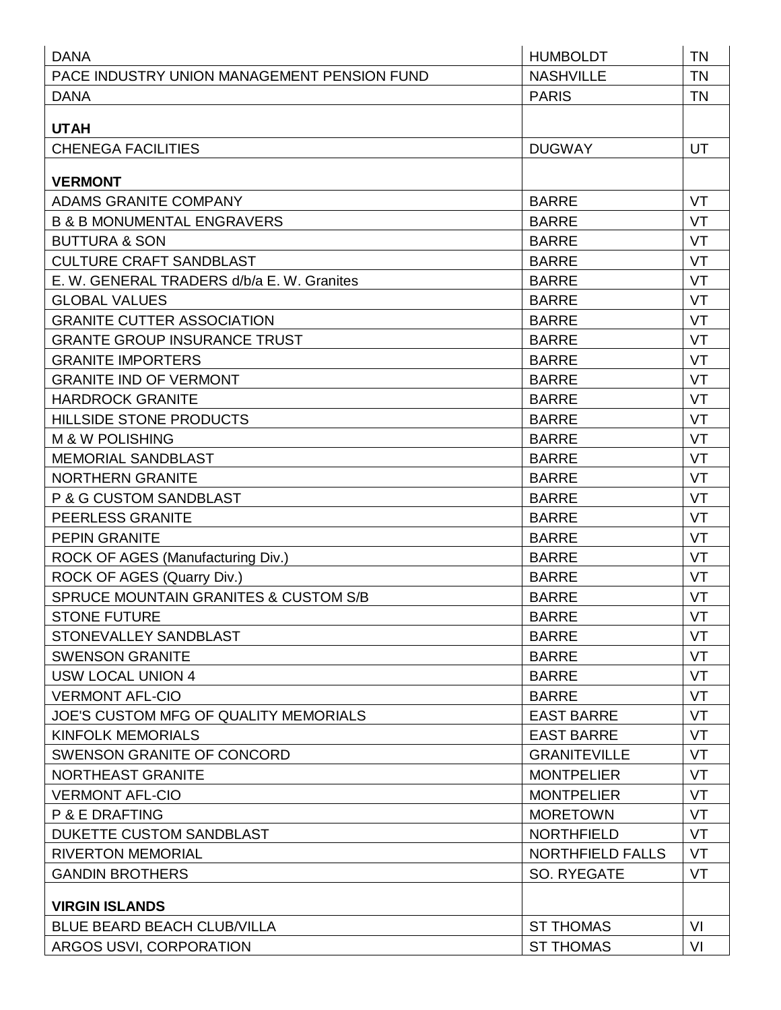| <b>DANA</b>                                 | <b>HUMBOLDT</b>         | <b>TN</b> |
|---------------------------------------------|-------------------------|-----------|
| PACE INDUSTRY UNION MANAGEMENT PENSION FUND | <b>NASHVILLE</b>        | <b>TN</b> |
| <b>DANA</b>                                 | <b>PARIS</b>            | <b>TN</b> |
|                                             |                         |           |
| <b>UTAH</b>                                 |                         |           |
| <b>CHENEGA FACILITIES</b>                   | <b>DUGWAY</b>           | UT        |
| <b>VERMONT</b>                              |                         |           |
| <b>ADAMS GRANITE COMPANY</b>                | <b>BARRE</b>            | VT        |
| <b>B &amp; B MONUMENTAL ENGRAVERS</b>       | <b>BARRE</b>            | VT        |
| <b>BUTTURA &amp; SON</b>                    | <b>BARRE</b>            | VT        |
| <b>CULTURE CRAFT SANDBLAST</b>              | <b>BARRE</b>            | VT        |
| E. W. GENERAL TRADERS d/b/a E. W. Granites  | <b>BARRE</b>            | VT        |
| <b>GLOBAL VALUES</b>                        | <b>BARRE</b>            | VT        |
| <b>GRANITE CUTTER ASSOCIATION</b>           | <b>BARRE</b>            | VT        |
| <b>GRANTE GROUP INSURANCE TRUST</b>         | <b>BARRE</b>            | VT        |
| <b>GRANITE IMPORTERS</b>                    | <b>BARRE</b>            | VT        |
| <b>GRANITE IND OF VERMONT</b>               | <b>BARRE</b>            | VT        |
| <b>HARDROCK GRANITE</b>                     | <b>BARRE</b>            | VT        |
| <b>HILLSIDE STONE PRODUCTS</b>              | <b>BARRE</b>            | VT        |
| <b>M &amp; W POLISHING</b>                  | <b>BARRE</b>            | VT        |
| <b>MEMORIAL SANDBLAST</b>                   | <b>BARRE</b>            | VT        |
| <b>NORTHERN GRANITE</b>                     | <b>BARRE</b>            | VT        |
| P & G CUSTOM SANDBLAST                      | <b>BARRE</b>            | VT        |
| <b>PEERLESS GRANITE</b>                     | <b>BARRE</b>            | VT        |
| <b>PEPIN GRANITE</b>                        | <b>BARRE</b>            | VT        |
| ROCK OF AGES (Manufacturing Div.)           | <b>BARRE</b>            | VT        |
| ROCK OF AGES (Quarry Div.)                  | <b>BARRE</b>            | VT        |
| SPRUCE MOUNTAIN GRANITES & CUSTOM S/B       | <b>BARRE</b>            | VT        |
| <b>STONE FUTURE</b>                         | <b>BARRE</b>            | VT        |
| STONEVALLEY SANDBLAST                       | <b>BARRE</b>            | VT        |
| <b>SWENSON GRANITE</b>                      | <b>BARRE</b>            | VT        |
| <b>USW LOCAL UNION 4</b>                    | <b>BARRE</b>            | VT        |
| <b>VERMONT AFL-CIO</b>                      | <b>BARRE</b>            | VT        |
| JOE'S CUSTOM MFG OF QUALITY MEMORIALS       | <b>EAST BARRE</b>       | VT        |
| <b>KINFOLK MEMORIALS</b>                    | <b>EAST BARRE</b>       | VT        |
| SWENSON GRANITE OF CONCORD                  | <b>GRANITEVILLE</b>     | VT        |
| NORTHEAST GRANITE                           | <b>MONTPELIER</b>       | VT        |
| <b>VERMONT AFL-CIO</b>                      | <b>MONTPELIER</b>       | VT        |
| P & E DRAFTING                              | <b>MORETOWN</b>         | VT        |
| <b>DUKETTE CUSTOM SANDBLAST</b>             | <b>NORTHFIELD</b>       | VT        |
| <b>RIVERTON MEMORIAL</b>                    | <b>NORTHFIELD FALLS</b> | <b>VT</b> |
| <b>GANDIN BROTHERS</b>                      | SO. RYEGATE             | VT        |
| <b>VIRGIN ISLANDS</b>                       |                         |           |
| <b>BLUE BEARD BEACH CLUB/VILLA</b>          | <b>ST THOMAS</b>        | VI        |
| ARGOS USVI, CORPORATION                     | <b>ST THOMAS</b>        | VI        |